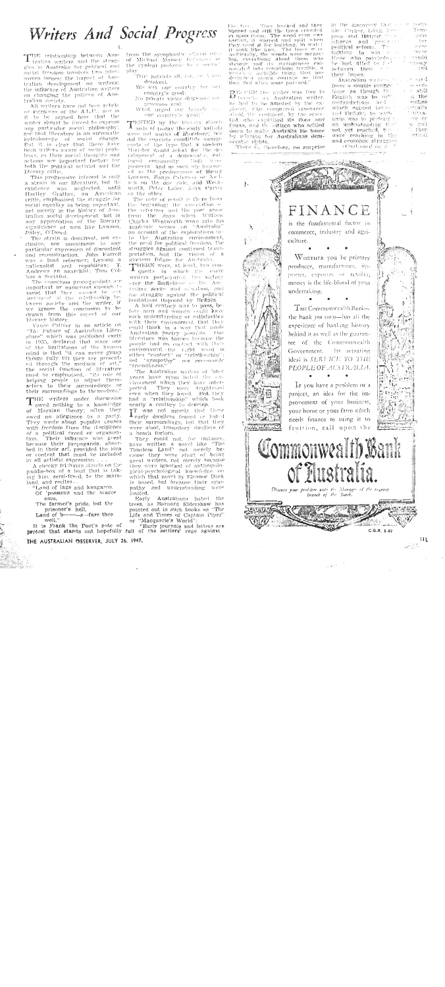# Writers And Social Progress

THE relationship between Ausgles in Australia for political and social freedom involves two interwoven issues; the impact of Australian development on writers; the influence of Australian writers on changing the pattern of Australian society.

All writers have not been rebels or members of the A.L.P.; nor is<br>it to be argued here that the writer should be forced to express any particular social philosophy; nor that literature is an autoniatic kalcidoscope of social change. But it is clear that there have been writters aware of social problems, so their social thoughts and actions are important factors for both the political activist and the literary critic.

This progressive interest is only a strain in our literature, but its was neglected, until existence Hartley Grattan, an American critic, emphasised the struggle for social equality as being important. not merely in the history of Australian social development, but in any appreciation of the liferary Daley, O'Dowd.

The strain is dominant, not exclusive, nor unanimous in any particular expression of discontent and reconstruction. John Farrell was a land reformer; Lawson a nationalist and republican; T.<br>Andrews an anarchist; Tom Collins a Socialist.

The conscious propagandists are important or numerous cuances to insist that there cannot be env tween society and the writer, if we ignore the conclusion to be drawn from this aspect of our literary history.

Vance Palmer in an article on "The Future of Australian Literature" which was published early 1935, declared that since one in of the limitations of the human mind is that "it can never grasp things fully fill they are presented through the medium of art." the social function of literature must be emphasised, .. helping people to adjust them-<br>selves to their surroundings or their surroundings to themselves.

THE writers under discussion owed nothing to a knowledge of Marxian theory; often they owed no allegiance to a party. They wrote about popular causes<br>with freedom from the disciplines of a political creed or organisa-<br>tion. Their influence was great because their propaganda, absorbed in their art, provided the idea<br>or content that must be included in all artistic expression

A cheeky Irlshman stands on the paddle-box of a boat that is taking him, semi-freed, to the mainland, and recites-

"Land of lags and kangaroo. Of possums and the scarce  $emu$ .

The farmer's pride, but the

prisoner's hell, Land of b---<br>well." -s-fare thee

It is Frank the Poet's note of "Early journals and letters are protest that stands out hopefully full of the settlers' rage against

from the sycophantic official odes of Michael Massey Reference or the cynical prologue to a corvict play

True patriots all, for, be then. derstood.

We left our country for our country's good:

No private views diagrame ongenerous zeal:

What urged our travels a our country's weal!"

TESTED by the literary standards of to-day the early ballads. were not works of literature; ner did the convicts constitute immigcants of the type that a modern Minister would select for the development of a democratic, cuitured community. Both were<br>pioneers and as such are hintoured as the predecessors of Henry Lawson, Banjo Paterson or  $\mathbb{R}^{n}$ sen on the one side, and Wentworth, Peter Lalor, John Curtin on the other

The note of revolt is there from beginning; the association of the reformer and the poet arose from the days when William Charles Wentworth wove into his academic verses on "Australia" an account of the explorations into the Australian environment, the need for political freedom, the struggles against continued transportation, and the vision of a glorious future for Australia.

THERE were, at least, two con-<br>T quests in which the early writers participated. One victory ever the limitations of the Aretralian scene and adultion, and the struggle against the political limitations imposed by Britain.

A half century was to pass, before men and women could have such understanding or satisfaction with their environment that they could think in a way that made<br>Australian poetry possible. Our literature was barren because the people had no conduct with their environment -the right word is either "contact" or "relationship":<br>not "sympathy" nor recessarily nor peressarily "friendliness."

The Australian writers of later years have often hated the environment which they have inter-<br>preted. They were furgiveed by the even when they loved. But had a "relationship" which took nearly a century to develop.

T was not merely that these their surroundings, but that they were aloof, transitory dwellers of a heach forlorn.

They could not, for instance, have written a novel like "The<br>Timeless Land" not merely because they were short of being great writers, not merely because they were ignorant of anthropological-psychological knowledge which that novel by Eleanor Dark is based, but because their sympathy and understanding were İimited.

Early Australians hated the trees, as Barnard Eldershaw has pointed out in such books as "The Life and Times of Captain Piper' 'Macquarie's World'  $O1$ 

the tree. They hacked and they burned and still the trees crowded<br>in upon them. The wood even waveless, it warpled and spit when<br>treelses, it warped and spit when<br>they used if for building, in water<br>it sank like iron. The they used it for building, in water<br>the sufficient of the trees we in safeling, the woods were mean-<br>that like irror and the woods were mean-<br>that, everything about them was stringer and its stringness culture<br>in the stri

DELOTE the writer was free to beroup an Australian writer. he had to be assisted by the exslover, who conquered ignorance dead the continuit, by the scienlist who explained its flora and fanna, and the citizen who settled down to make Australia his home by winning for Australians demceratic rights.

There is, therefore, no surprise

T. P. Low House

is antis in the discovery that are y Tomlike Parker, Ling, Perpson and Harpart dous prove co citizens and r **Lost**  $-\frac{1}{2}$ معمد .<br>Trene fighting to win  $\rightarrow$ those who psychology englei mony between their  $111$ their hopes. s ered

 $n$  con-

 $x + y$ 

 $n$  the

 $m: 11 : n0$ 

allmit.

 $-18.01331 -$ 

an no

 $v$  had

stical

they

Australian verdens be from a double instrucimue as though the Eaglish was to sure contradictions and<br>which existed between and Britain; in serit, fians was to prefered t an understanding the not yet reached, but and economic struggles. (Continued on 2

**STANDARD** FINANCE is the fundamental factor in commerce, industry and agriculture. WHETHER you be primary producer, manufacturer, importer, exporter or retailer, money is the life-blood of your undertaking.  $\mathrm{T}\mathrm{_{HE}{}C}\mathrm{_{onunon}}$  wealth Bank the bank you own-has all the experience of banking history. behind it as well as the guarantec of the Commonwealth Government. Its actuating ideal is SERVICE TO THE PEOPLE OF AUSTRALIA. Ir you have a problem or a project, an idea for the improvement of your business, your home or your farm which needs finance to bring it to fruition, call upon the Commonwealth Bank of Australia. Discuss your problem with the Manager of the nearest  $4.11.11.11$ しきたとうし ブラウ  $C.G.B. S-82$ 

THE AUSTRALIAN OBSERVER, JULY 26, 1947.